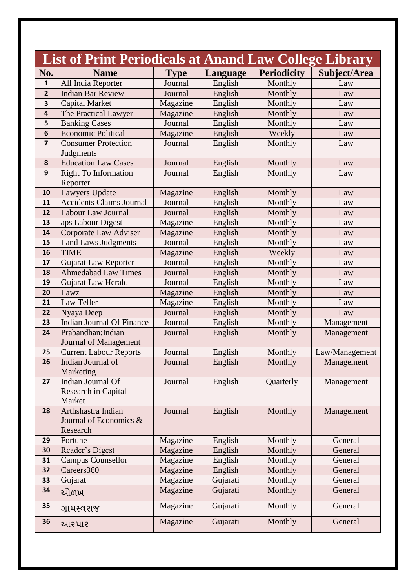|                         |                                                    |                    |          | <b>List of Print Periodicals at Anand Law College Library</b> |                |
|-------------------------|----------------------------------------------------|--------------------|----------|---------------------------------------------------------------|----------------|
| No.                     | <b>Name</b>                                        | <b>Type</b>        | Language | <b>Periodicity</b>                                            | Subject/Area   |
| $\mathbf{1}$            | All India Reporter                                 | Journal            | English  | Monthly                                                       | Law            |
| $\overline{2}$          | <b>Indian Bar Review</b>                           | Journal            | English  | Monthly                                                       | Law            |
| 3                       | <b>Capital Market</b>                              | Magazine           | English  | Monthly                                                       | Law            |
| $\overline{\mathbf{a}}$ | The Practical Lawyer                               | Magazine           | English  | Monthly                                                       | Law            |
| 5                       | <b>Banking Cases</b>                               | Journal            | English  | Monthly                                                       | Law            |
| 6                       | <b>Economic Political</b>                          | Magazine           | English  | Weekly                                                        | Law            |
| $\overline{\mathbf{z}}$ | <b>Consumer Protection</b>                         | Journal            | English  | Monthly                                                       | Law            |
|                         | Judgments                                          |                    |          |                                                               |                |
| 8                       | <b>Education Law Cases</b>                         | Journal            | English  | Monthly                                                       | Law            |
| 9                       | <b>Right To Information</b>                        | Journal            | English  | Monthly                                                       | Law            |
|                         | Reporter                                           |                    |          |                                                               |                |
| 10                      | Lawyers Update                                     | Magazine           | English  | Monthly                                                       | Law            |
| 11                      | <b>Accidents Claims Journal</b>                    | Journal            | English  | Monthly                                                       | Law            |
| 12                      | Labour Law Journal                                 | Journal            | English  | Monthly                                                       | Law            |
| 13                      | aps Labour Digest                                  | Magazine           | English  | Monthly                                                       | Law            |
| 14                      | Corporate Law Adviser                              | Magazine           | English  | Monthly                                                       | Law            |
| 15                      | <b>Land Laws Judgments</b>                         | Journal            | English  | Monthly                                                       | Law            |
| 16                      | <b>TIME</b>                                        | Magazine           | English  | Weekly                                                        | Law            |
| 17                      | <b>Gujarat Law Reporter</b>                        | Journal            | English  | Monthly                                                       | Law            |
| 18                      | <b>Ahmedabad Law Times</b>                         | Journal            | English  | Monthly                                                       | Law            |
| 19                      | Gujarat Law Herald                                 | Journal            | English  | Monthly                                                       | Law            |
| 20                      | Lawz                                               | Magazine           | English  | Monthly                                                       | Law            |
| 21                      | Law Teller                                         | Magazine           | English  | Monthly                                                       | Law            |
| 22                      | Nyaya Deep                                         | Journal            | English  | Monthly                                                       | Law            |
| 23                      | <b>Indian Journal Of Finance</b>                   | Journal            | English  | Monthly                                                       | Management     |
| 24                      | Prabandhan: Indian                                 | Journal            | English  | Monthly                                                       | Management     |
|                         | <b>Journal of Management</b>                       |                    |          |                                                               |                |
| 25<br>26                | <b>Current Labour Reports</b><br>Indian Journal of | Journal<br>Journal | English  | Monthly<br>Monthly                                            | Law/Management |
|                         | Marketing                                          |                    | English  |                                                               | Management     |
| 27                      | Indian Journal Of                                  | Journal            | English  | Quarterly                                                     | Management     |
|                         | Research in Capital                                |                    |          |                                                               |                |
|                         | Market                                             |                    |          |                                                               |                |
| 28                      | Arthshastra Indian                                 | Journal            | English  | Monthly                                                       | Management     |
|                         | Journal of Economics &                             |                    |          |                                                               |                |
|                         | Research                                           |                    |          |                                                               |                |
| 29                      | Fortune                                            | Magazine           | English  | Monthly                                                       | General        |
| 30                      | Reader's Digest                                    | Magazine           | English  | Monthly                                                       | General        |
| 31                      | <b>Campus Counsellor</b>                           | Magazine           | English  | Monthly                                                       | General        |
| 32                      | Careers360                                         | Magazine           | English  | Monthly                                                       | General        |
| 33                      | Gujarat                                            | Magazine           | Gujarati | Monthly                                                       | General        |
| 34                      | ઓળખ                                                | Magazine           | Gujarati | Monthly                                                       | General        |
| 35                      | ગ્રામસ્વરાજ                                        | Magazine           | Gujarati | Monthly                                                       | General        |
| 36                      | આરપાર                                              | Magazine           | Gujarati | Monthly                                                       | General        |